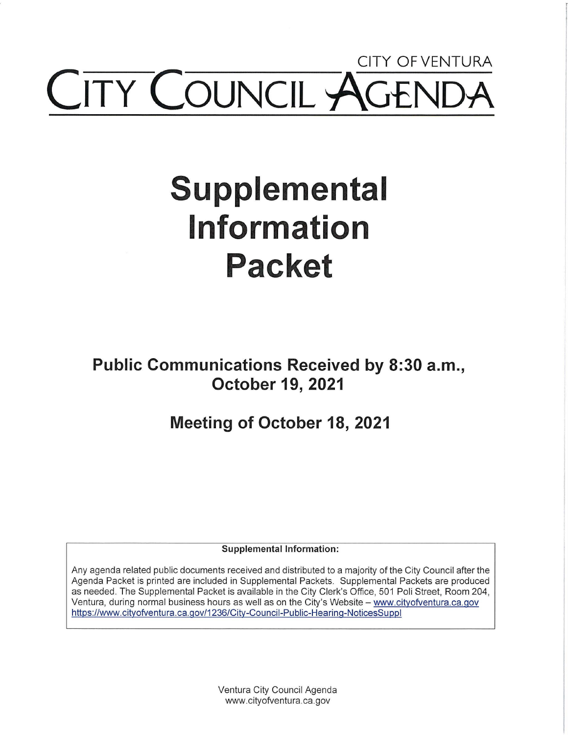## **CITY OF VENTURA COUNCIL**

# **Supplemental Information Packet**

**Public Communications Received by 8:30 a.m., October 19, 2021** 

**Meeting of October 18, 2021** 

**Supplemental Information:** 

Any agenda related public documents received and distributed to a majority of the City Council after the Agenda Packet is printed are included in Supplemental Packets. Supplemental Packets are produced as needed. The Supplemental Packet is available in the City Clerk's Office, 501 Poli Street, Room 204, Ventura, during normal business hours as well as on the City's Website - www.cityofventura.ca.gov https://www.cityofventura.ca.gov/1236/City-Council-Public-Hearing-NoticesSuppl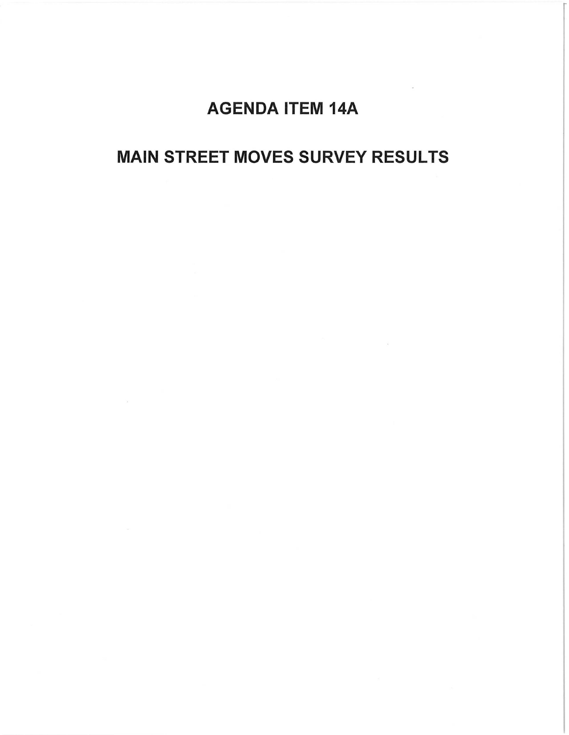## AGENDA ITEM 14A

### **MAIN STREET MOVES SURVEY RESULTS**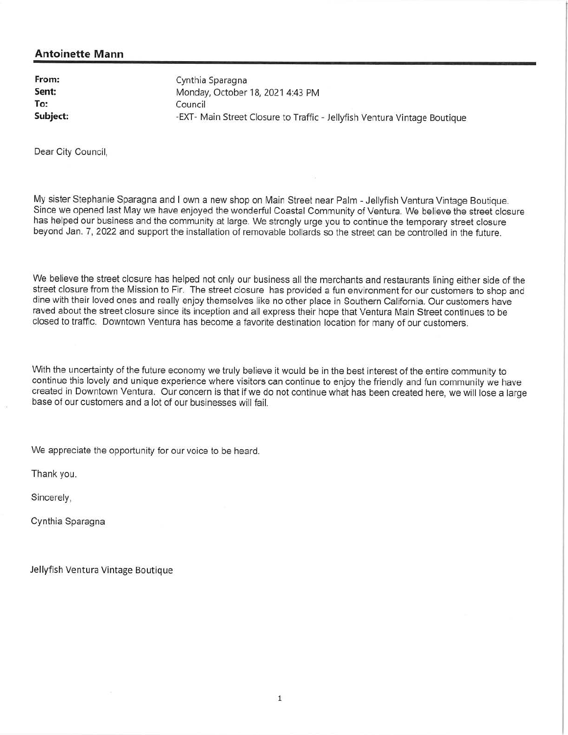#### **Antoinette Mann**

**From: Sent: To: Subject:** 

Cynthia Sparagna Monday, October 18, 2021 4:43 PM Council -EXT- Main Street Closure to Traffic - Jellyfish Ventura Vintage Boutique

Dear City Council,

My sister Stephanie Sparagna and I own a new shop on Main Street near Palm - Jellyfish Ventura Vintage Boutique. Since we opened last May we have enjoyed the wonderful Coastal Community of Ventura. We believe the street closure has helped our business and the community at large. We strongly urge you to continue the temporary street closure beyond Jan. 7, 2022 and support the installation of removable bollards so the street can be controlled in the future.

We believe the street closure has helped not only our business all the merchants and restaurants lining either side of the street closure from the Mission to Fir. The street closure has provided a fun environment for our customers to shop and dine with their loved ones and really enjoy themselves like no other place in Southern California. Our customers have raved about the street closure since its inception and all express their hope that Ventura Main Street continues to be closed to traffic. Downtown Ventura has become a favorite destination location for many of our customers.

With the uncertainty of the future economy we truly believe it would be in the best interest of the entire community to continue this lovely and unique experience where visitors can continue to enjoy the friendly and fun community we have created in Downtown Ventura. Our concern is that if we do not continue what has been created here, we will lose a large base of our customers and a lot of our businesses will fail.

We appreciate the opportunity for our voice to be heard.

Thank you.

Sincerely,

Cynthia Sparagna

Jellyfish Ventura Vintage Boutique